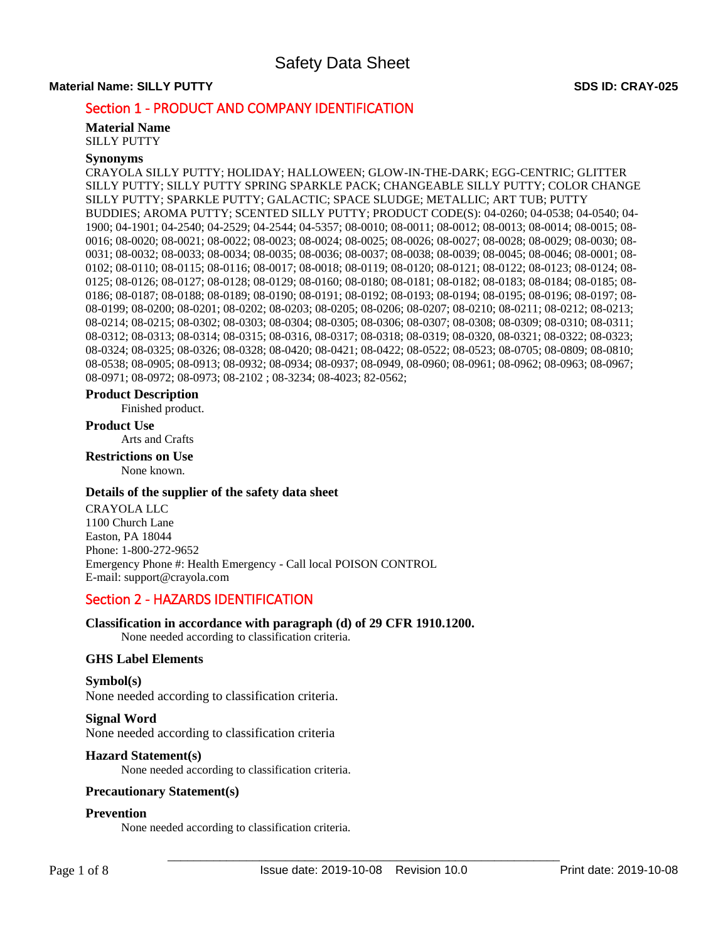# **Material Name: SILLY PUTTY SDS ID: CRAY-025**

# Section 1 - PRODUCT AND COMPANY IDENTIFICATION

**Material Name**  SILLY PUTTY

# **Synonyms**

CRAYOLA SILLY PUTTY; HOLIDAY; HALLOWEEN; GLOW-IN-THE-DARK; EGG-CENTRIC; GLITTER SILLY PUTTY; SILLY PUTTY SPRING SPARKLE PACK; CHANGEABLE SILLY PUTTY; COLOR CHANGE SILLY PUTTY; SPARKLE PUTTY; GALACTIC; SPACE SLUDGE; METALLIC; ART TUB; PUTTY BUDDIES; AROMA PUTTY; SCENTED SILLY PUTTY; PRODUCT CODE(S): 04-0260; 04-0538; 04-0540; 04- 1900; 04-1901; 04-2540; 04-2529; 04-2544; 04-5357; 08-0010; 08-0011; 08-0012; 08-0013; 08-0014; 08-0015; 08- 0016; 08-0020; 08-0021; 08-0022; 08-0023; 08-0024; 08-0025; 08-0026; 08-0027; 08-0028; 08-0029; 08-0030; 08- 0031; 08-0032; 08-0033; 08-0034; 08-0035; 08-0036; 08-0037; 08-0038; 08-0039; 08-0045; 08-0046; 08-0001; 08- 0102; 08-0110; 08-0115; 08-0116; 08-0017; 08-0018; 08-0119; 08-0120; 08-0121; 08-0122; 08-0123; 08-0124; 08- 0125; 08-0126; 08-0127; 08-0128; 08-0129; 08-0160; 08-0180; 08-0181; 08-0182; 08-0183; 08-0184; 08-0185; 08- 0186; 08-0187; 08-0188; 08-0189; 08-0190; 08-0191; 08-0192; 08-0193; 08-0194; 08-0195; 08-0196; 08-0197; 08- 08-0199; 08-0200; 08-0201; 08-0202; 08-0203; 08-0205; 08-0206; 08-0207; 08-0210; 08-0211; 08-0212; 08-0213; 08-0214; 08-0215; 08-0302; 08-0303; 08-0304; 08-0305; 08-0306; 08-0307; 08-0308; 08-0309; 08-0310; 08-0311; 08-0312; 08-0313; 08-0314; 08-0315; 08-0316, 08-0317; 08-0318; 08-0319; 08-0320, 08-0321; 08-0322; 08-0323; 08-0324; 08-0325; 08-0326; 08-0328; 08-0420; 08-0421; 08-0422; 08-0522; 08-0523; 08-0705; 08-0809; 08-0810; 08-0538; 08-0905; 08-0913; 08-0932; 08-0934; 08-0937; 08-0949, 08-0960; 08-0961; 08-0962; 08-0963; 08-0967; 08-0971; 08-0972; 08-0973; 08-2102 ; 08-3234; 08-4023; 82-0562;

#### **Product Description**

Finished product.

#### **Product Use**

Arts and Crafts

# **Restrictions on Use**

None known.

## **Details of the supplier of the safety data sheet**

CRAYOLA LLC 1100 Church Lane Easton, PA 18044 Phone: 1-800-272-9652 Emergency Phone #: Health Emergency - Call local POISON CONTROL E-mail: support@crayola.com

# Section 2 - HAZARDS IDENTIFICATION

# **Classification in accordance with paragraph (d) of 29 CFR 1910.1200.**

None needed according to classification criteria.

# **GHS Label Elements**

**Symbol(s)**  None needed according to classification criteria.

# **Signal Word**  None needed according to classification criteria

# **Hazard Statement(s)**

None needed according to classification criteria.

# **Precautionary Statement(s)**

## **Prevention**

None needed according to classification criteria.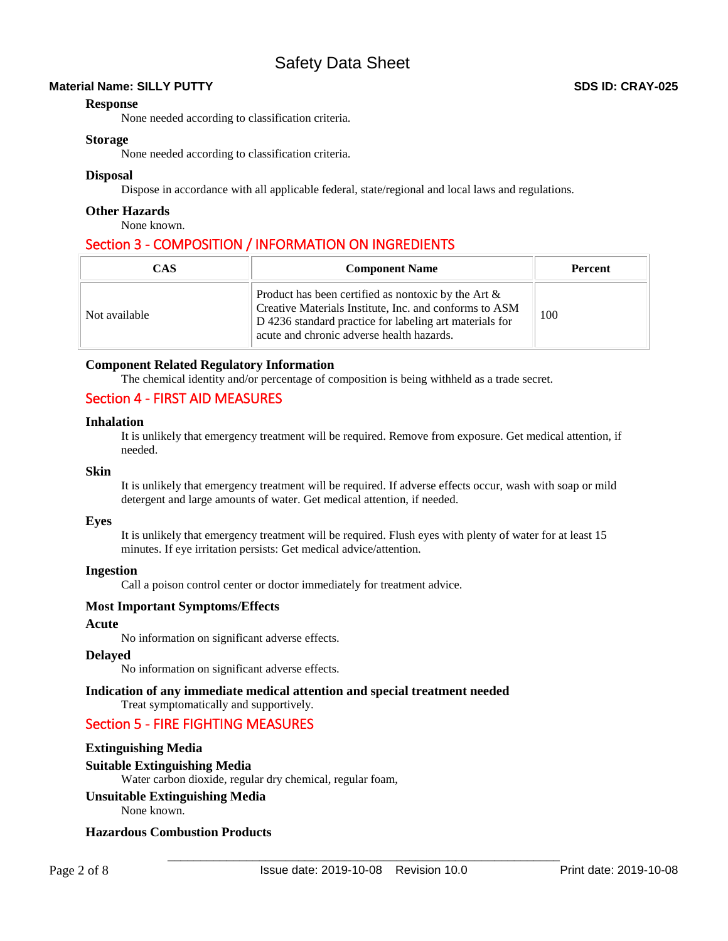# **Material Name: SILLY PUTTY SDS ID: CRAY-025**

# **Response**

None needed according to classification criteria.

# **Storage**

None needed according to classification criteria.

# **Disposal**

Dispose in accordance with all applicable federal, state/regional and local laws and regulations.

# **Other Hazards**

None known.

# Section 3 - COMPOSITION / INFORMATION ON INGREDIENTS

| <b>CAS</b>    | <b>Component Name</b>                                                                                                                                                                                                    | <b>Percent</b> |
|---------------|--------------------------------------------------------------------------------------------------------------------------------------------------------------------------------------------------------------------------|----------------|
| Not available | Product has been certified as nontoxic by the Art $\&$<br>Creative Materials Institute, Inc. and conforms to ASM<br>D 4236 standard practice for labeling art materials for<br>acute and chronic adverse health hazards. | 100            |

# **Component Related Regulatory Information**

The chemical identity and/or percentage of composition is being withheld as a trade secret.

# Section 4 - FIRST AID MEASURES

# **Inhalation**

It is unlikely that emergency treatment will be required. Remove from exposure. Get medical attention, if needed.

# **Skin**

It is unlikely that emergency treatment will be required. If adverse effects occur, wash with soap or mild detergent and large amounts of water. Get medical attention, if needed.

# **Eyes**

It is unlikely that emergency treatment will be required. Flush eyes with plenty of water for at least 15 minutes. If eye irritation persists: Get medical advice/attention.

# **Ingestion**

Call a poison control center or doctor immediately for treatment advice.

# **Most Important Symptoms/Effects**

## **Acute**

No information on significant adverse effects.

#### **Delayed**

No information on significant adverse effects.

# **Indication of any immediate medical attention and special treatment needed**

Treat symptomatically and supportively.

# Section 5 - FIRE FIGHTING MEASURES

# **Extinguishing Media**

# **Suitable Extinguishing Media**

Water carbon dioxide, regular dry chemical, regular foam,

# **Unsuitable Extinguishing Media**

None known.

# **Hazardous Combustion Products**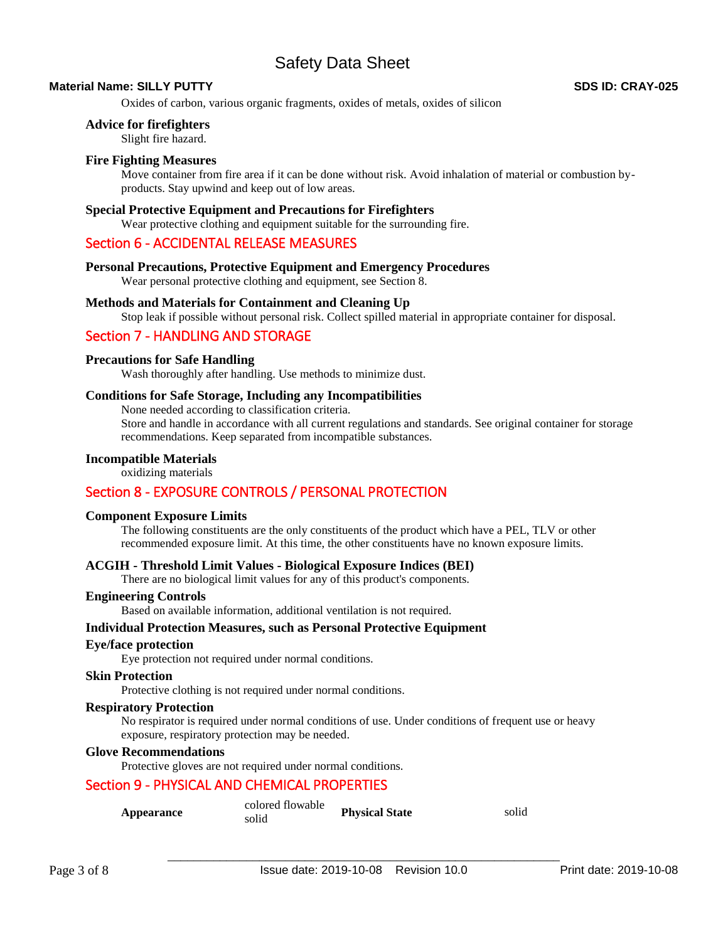# **Material Name: SILLY PUTTY SDS ID: CRAY-025**

Oxides of carbon, various organic fragments, oxides of metals, oxides of silicon

## **Advice for firefighters**

Slight fire hazard.

# **Fire Fighting Measures**

Move container from fire area if it can be done without risk. Avoid inhalation of material or combustion byproducts. Stay upwind and keep out of low areas.

# **Special Protective Equipment and Precautions for Firefighters**

Wear protective clothing and equipment suitable for the surrounding fire.

# Section 6 - ACCIDENTAL RELEASE MEASURES

#### **Personal Precautions, Protective Equipment and Emergency Procedures**

Wear personal protective clothing and equipment, see Section 8.

## **Methods and Materials for Containment and Cleaning Up**

Stop leak if possible without personal risk. Collect spilled material in appropriate container for disposal.

# Section 7 - HANDLING AND STORAGE

## **Precautions for Safe Handling**

Wash thoroughly after handling. Use methods to minimize dust.

## **Conditions for Safe Storage, Including any Incompatibilities**

None needed according to classification criteria.

Store and handle in accordance with all current regulations and standards. See original container for storage recommendations. Keep separated from incompatible substances.

# **Incompatible Materials**

oxidizing materials

# Section 8 - EXPOSURE CONTROLS / PERSONAL PROTECTION

#### **Component Exposure Limits**

The following constituents are the only constituents of the product which have a PEL, TLV or other recommended exposure limit. At this time, the other constituents have no known exposure limits.

# **ACGIH - Threshold Limit Values - Biological Exposure Indices (BEI)**

There are no biological limit values for any of this product's components.

#### **Engineering Controls**

Based on available information, additional ventilation is not required.

# **Individual Protection Measures, such as Personal Protective Equipment**

#### **Eye/face protection**

Eye protection not required under normal conditions.

#### **Skin Protection**

Protective clothing is not required under normal conditions.

#### **Respiratory Protection**

No respirator is required under normal conditions of use. Under conditions of frequent use or heavy exposure, respiratory protection may be needed.

## **Glove Recommendations**

Protective gloves are not required under normal conditions.

# Section 9 - PHYSICAL AND CHEMICAL PROPERTIES

| Appearance | colored flowable<br>solid | <b>Physical State</b> | solid |
|------------|---------------------------|-----------------------|-------|
|------------|---------------------------|-----------------------|-------|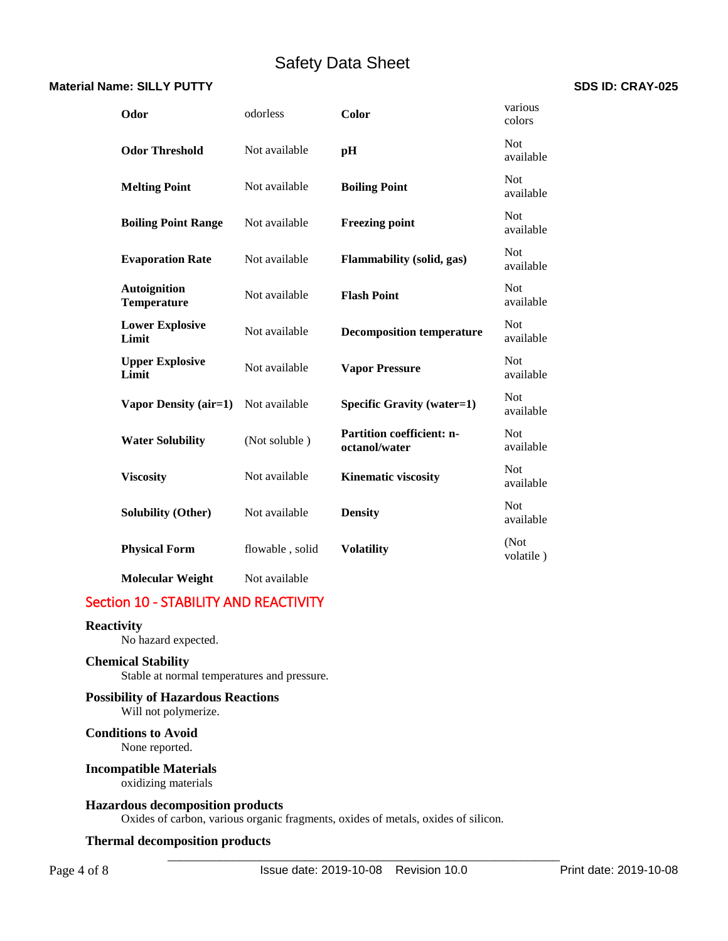# **Material Name: SILLY PUTTY SDS ID: CRAY-025**

| Odor                                      | odorless        | Color                                             | various<br>colors       |
|-------------------------------------------|-----------------|---------------------------------------------------|-------------------------|
| <b>Odor Threshold</b>                     | Not available   | pH                                                | <b>Not</b><br>available |
| <b>Melting Point</b>                      | Not available   | <b>Boiling Point</b>                              | <b>Not</b><br>available |
| <b>Boiling Point Range</b>                | Not available   | <b>Freezing point</b>                             | <b>Not</b><br>available |
| <b>Evaporation Rate</b>                   | Not available   | Flammability (solid, gas)                         | <b>Not</b><br>available |
| <b>Autoignition</b><br><b>Temperature</b> | Not available   | <b>Flash Point</b>                                | <b>Not</b><br>available |
| <b>Lower Explosive</b><br>Limit           | Not available   | <b>Decomposition temperature</b>                  | <b>Not</b><br>available |
| <b>Upper Explosive</b><br>Limit           | Not available   | <b>Vapor Pressure</b>                             | <b>Not</b><br>available |
| Vapor Density (air=1)                     | Not available   | Specific Gravity (water=1)                        | <b>Not</b><br>available |
| <b>Water Solubility</b>                   | (Not soluble)   | <b>Partition coefficient: n-</b><br>octanol/water | <b>Not</b><br>available |
| <b>Viscosity</b>                          | Not available   | <b>Kinematic viscosity</b>                        | <b>Not</b><br>available |
| <b>Solubility (Other)</b>                 | Not available   | <b>Density</b>                                    | <b>Not</b><br>available |
| <b>Physical Form</b>                      | flowable, solid | <b>Volatility</b>                                 | (Not<br>volatile)       |
| <b>Molecular Weight</b>                   | Not available   |                                                   |                         |

# Section 10 - STABILITY AND REACTIVITY

# **Reactivity**

No hazard expected.

# **Chemical Stability**

Stable at normal temperatures and pressure.

# **Possibility of Hazardous Reactions**

Will not polymerize.

# **Conditions to Avoid**

None reported.

# **Incompatible Materials**

oxidizing materials

# **Hazardous decomposition products**

Oxides of carbon, various organic fragments, oxides of metals, oxides of silicon.

# **Thermal decomposition products**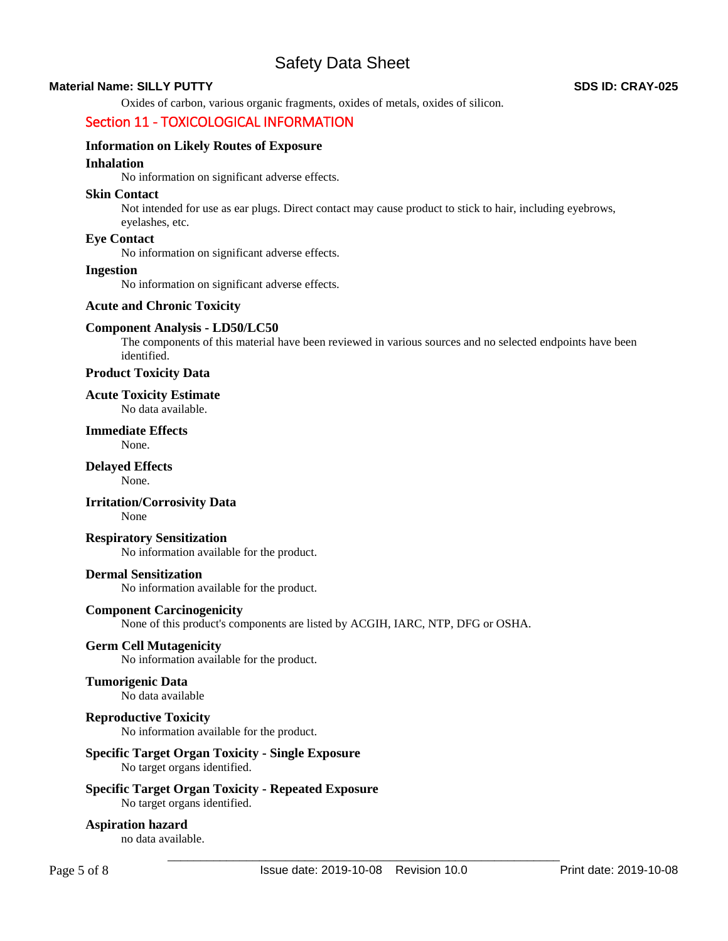# **Material Name: SILLY PUTTY SDS ID: CRAY-025**

Oxides of carbon, various organic fragments, oxides of metals, oxides of silicon.

# Section 11 - TOXICOLOGICAL INFORMATION

# **Information on Likely Routes of Exposure**

# **Inhalation**

No information on significant adverse effects.

#### **Skin Contact**

Not intended for use as ear plugs. Direct contact may cause product to stick to hair, including eyebrows, eyelashes, etc.

# **Eye Contact**

No information on significant adverse effects.

# **Ingestion**

No information on significant adverse effects.

# **Acute and Chronic Toxicity**

## **Component Analysis - LD50/LC50**

The components of this material have been reviewed in various sources and no selected endpoints have been identified.

**Product Toxicity Data** 

#### **Acute Toxicity Estimate**  No data available.

# **Immediate Effects**

None.

# **Delayed Effects**

None.

#### **Irritation/Corrosivity Data**  None

# **Respiratory Sensitization**

No information available for the product.

#### **Dermal Sensitization**

No information available for the product.

# **Component Carcinogenicity**

None of this product's components are listed by ACGIH, IARC, NTP, DFG or OSHA.

# **Germ Cell Mutagenicity**

No information available for the product.

#### **Tumorigenic Data**  No data available

# **Reproductive Toxicity**

No information available for the product.

# **Specific Target Organ Toxicity - Single Exposure**

No target organs identified.

# **Specific Target Organ Toxicity - Repeated Exposure**

No target organs identified.

# **Aspiration hazard**

no data available.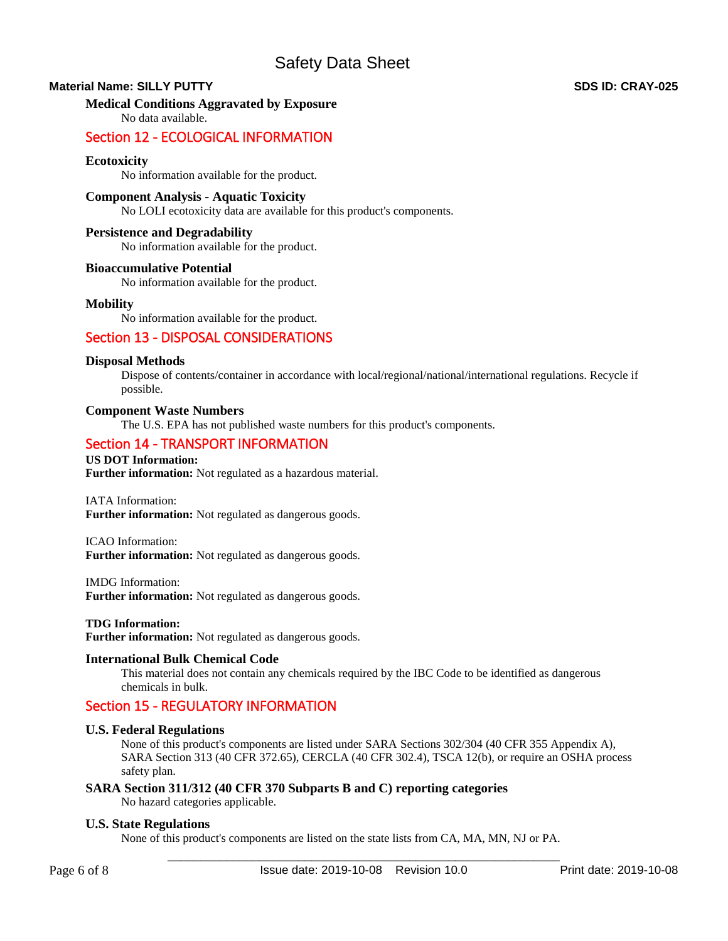# **Material Name: SILLY PUTTY SDS ID: CRAY-025**

# **Medical Conditions Aggravated by Exposure**

No data available.

# Section 12 - ECOLOGICAL INFORMATION

# **Ecotoxicity**

No information available for the product.

# **Component Analysis - Aquatic Toxicity**

No LOLI ecotoxicity data are available for this product's components.

# **Persistence and Degradability**

No information available for the product.

## **Bioaccumulative Potential**

No information available for the product.

## **Mobility**

No information available for the product.

# Section 13 - DISPOSAL CONSIDERATIONS

## **Disposal Methods**

Dispose of contents/container in accordance with local/regional/national/international regulations. Recycle if possible.

## **Component Waste Numbers**

The U.S. EPA has not published waste numbers for this product's components.

# Section 14 - TRANSPORT INFORMATION

**US DOT Information: Further information:** Not regulated as a hazardous material.

#### IATA Information:

**Further information:** Not regulated as dangerous goods.

#### ICAO Information: **Further information:** Not regulated as dangerous goods.

IMDG Information:

**Further information:** Not regulated as dangerous goods.

#### **TDG Information:**

**Further information:** Not regulated as dangerous goods.

#### **International Bulk Chemical Code**

This material does not contain any chemicals required by the IBC Code to be identified as dangerous chemicals in bulk.

# Section 15 - REGULATORY INFORMATION

#### **U.S. Federal Regulations**

None of this product's components are listed under SARA Sections 302/304 (40 CFR 355 Appendix A), SARA Section 313 (40 CFR 372.65), CERCLA (40 CFR 302.4), TSCA 12(b), or require an OSHA process safety plan.

# **SARA Section 311/312 (40 CFR 370 Subparts B and C) reporting categories**

No hazard categories applicable.

#### **U.S. State Regulations**

None of this product's components are listed on the state lists from CA, MA, MN, NJ or PA.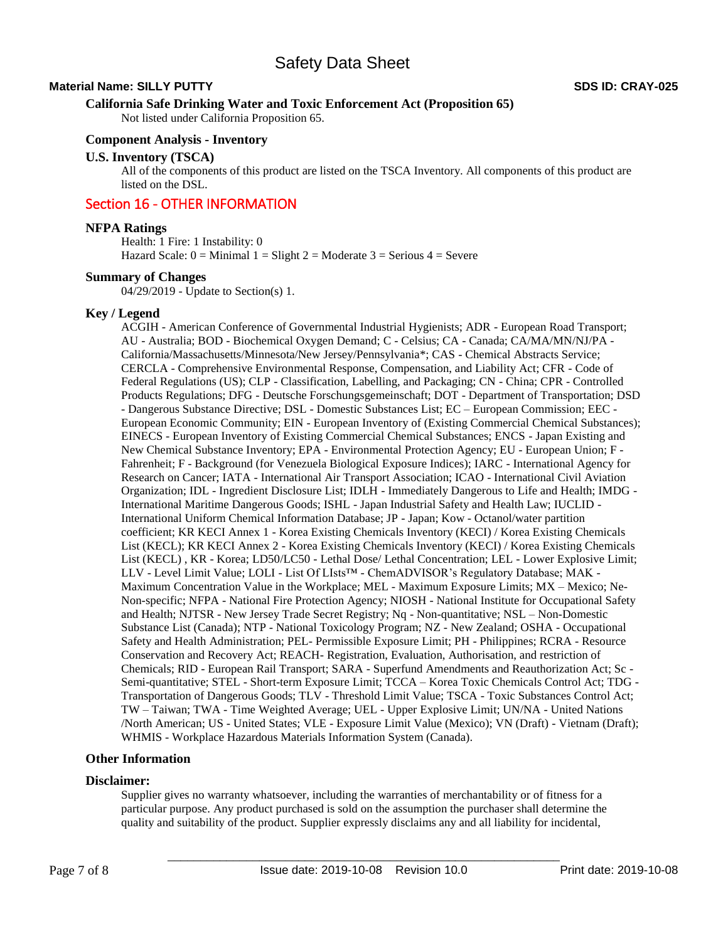# **Material Name: SILLY PUTTY SDS ID: CRAY-025**

# **California Safe Drinking Water and Toxic Enforcement Act (Proposition 65)**

Not listed under California Proposition 65.

# **Component Analysis - Inventory**

#### **U.S. Inventory (TSCA)**

All of the components of this product are listed on the TSCA Inventory. All components of this product are listed on the DSL.

# Section 16 - OTHER INFORMATION

## **NFPA Ratings**

Health: 1 Fire: 1 Instability: 0 Hazard Scale:  $0 =$  Minimal  $1 =$  Slight  $2 =$  Moderate  $3 =$  Serious  $4 =$  Severe

## **Summary of Changes**

04/29/2019 - Update to Section(s) 1.

# **Key / Legend**

ACGIH - American Conference of Governmental Industrial Hygienists; ADR - European Road Transport; AU - Australia; BOD - Biochemical Oxygen Demand; C - Celsius; CA - Canada; CA/MA/MN/NJ/PA - California/Massachusetts/Minnesota/New Jersey/Pennsylvania\*; CAS - Chemical Abstracts Service; CERCLA - Comprehensive Environmental Response, Compensation, and Liability Act; CFR - Code of Federal Regulations (US); CLP - Classification, Labelling, and Packaging; CN - China; CPR - Controlled Products Regulations; DFG - Deutsche Forschungsgemeinschaft; DOT - Department of Transportation; DSD - Dangerous Substance Directive; DSL - Domestic Substances List; EC – European Commission; EEC - European Economic Community; EIN - European Inventory of (Existing Commercial Chemical Substances); EINECS - European Inventory of Existing Commercial Chemical Substances; ENCS - Japan Existing and New Chemical Substance Inventory; EPA - Environmental Protection Agency; EU - European Union; F - Fahrenheit; F - Background (for Venezuela Biological Exposure Indices); IARC - International Agency for Research on Cancer; IATA - International Air Transport Association; ICAO - International Civil Aviation Organization; IDL - Ingredient Disclosure List; IDLH - Immediately Dangerous to Life and Health; IMDG - International Maritime Dangerous Goods; ISHL - Japan Industrial Safety and Health Law; IUCLID - International Uniform Chemical Information Database; JP - Japan; Kow - Octanol/water partition coefficient; KR KECI Annex 1 - Korea Existing Chemicals Inventory (KECI) / Korea Existing Chemicals List (KECL); KR KECI Annex 2 - Korea Existing Chemicals Inventory (KECI) / Korea Existing Chemicals List (KECL) , KR - Korea; LD50/LC50 - Lethal Dose/ Lethal Concentration; LEL - Lower Explosive Limit; LLV - Level Limit Value; LOLI - List Of LIsts™ - ChemADVISOR's Regulatory Database; MAK - Maximum Concentration Value in the Workplace; MEL - Maximum Exposure Limits; MX – Mexico; Ne-Non-specific; NFPA - National Fire Protection Agency; NIOSH - National Institute for Occupational Safety and Health; NJTSR - New Jersey Trade Secret Registry; Nq - Non-quantitative; NSL – Non-Domestic Substance List (Canada); NTP - National Toxicology Program; NZ - New Zealand; OSHA - Occupational Safety and Health Administration; PEL- Permissible Exposure Limit; PH - Philippines; RCRA - Resource Conservation and Recovery Act; REACH- Registration, Evaluation, Authorisation, and restriction of Chemicals; RID - European Rail Transport; SARA - Superfund Amendments and Reauthorization Act; Sc - Semi-quantitative; STEL - Short-term Exposure Limit; TCCA – Korea Toxic Chemicals Control Act; TDG - Transportation of Dangerous Goods; TLV - Threshold Limit Value; TSCA - Toxic Substances Control Act; TW – Taiwan; TWA - Time Weighted Average; UEL - Upper Explosive Limit; UN/NA - United Nations /North American; US - United States; VLE - Exposure Limit Value (Mexico); VN (Draft) - Vietnam (Draft); WHMIS - Workplace Hazardous Materials Information System (Canada).

#### **Other Information**

# **Disclaimer:**

Supplier gives no warranty whatsoever, including the warranties of merchantability or of fitness for a particular purpose. Any product purchased is sold on the assumption the purchaser shall determine the quality and suitability of the product. Supplier expressly disclaims any and all liability for incidental,